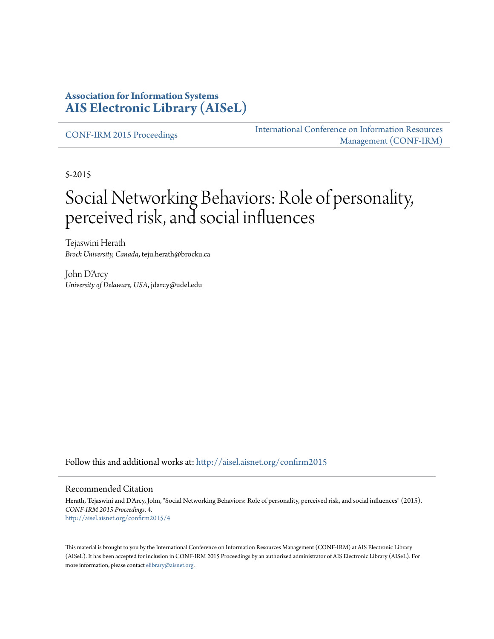#### **Association for Information Systems [AIS Electronic Library \(AISeL\)](http://aisel.aisnet.org?utm_source=aisel.aisnet.org%2Fconfirm2015%2F4&utm_medium=PDF&utm_campaign=PDFCoverPages)**

[CONF-IRM 2015 Proceedings](http://aisel.aisnet.org/confirm2015?utm_source=aisel.aisnet.org%2Fconfirm2015%2F4&utm_medium=PDF&utm_campaign=PDFCoverPages)

[International Conference on Information Resources](http://aisel.aisnet.org/conf-irm?utm_source=aisel.aisnet.org%2Fconfirm2015%2F4&utm_medium=PDF&utm_campaign=PDFCoverPages) [Management \(CONF-IRM\)](http://aisel.aisnet.org/conf-irm?utm_source=aisel.aisnet.org%2Fconfirm2015%2F4&utm_medium=PDF&utm_campaign=PDFCoverPages)

5-2015

# Social Networking Behaviors: Role of personality, perceived risk, and social influences

Tejaswini Herath *Brock University, Canada*, teju.herath@brocku.ca

John D'Arcy *University of Delaware, USA*, jdarcy@udel.edu

Follow this and additional works at: [http://aisel.aisnet.org/confirm2015](http://aisel.aisnet.org/confirm2015?utm_source=aisel.aisnet.org%2Fconfirm2015%2F4&utm_medium=PDF&utm_campaign=PDFCoverPages)

#### Recommended Citation

Herath, Tejaswini and D'Arcy, John, "Social Networking Behaviors: Role of personality, perceived risk, and social influences" (2015). *CONF-IRM 2015 Proceedings*. 4. [http://aisel.aisnet.org/confirm2015/4](http://aisel.aisnet.org/confirm2015/4?utm_source=aisel.aisnet.org%2Fconfirm2015%2F4&utm_medium=PDF&utm_campaign=PDFCoverPages)

This material is brought to you by the International Conference on Information Resources Management (CONF-IRM) at AIS Electronic Library (AISeL). It has been accepted for inclusion in CONF-IRM 2015 Proceedings by an authorized administrator of AIS Electronic Library (AISeL). For more information, please contact [elibrary@aisnet.org.](mailto:elibrary@aisnet.org%3E)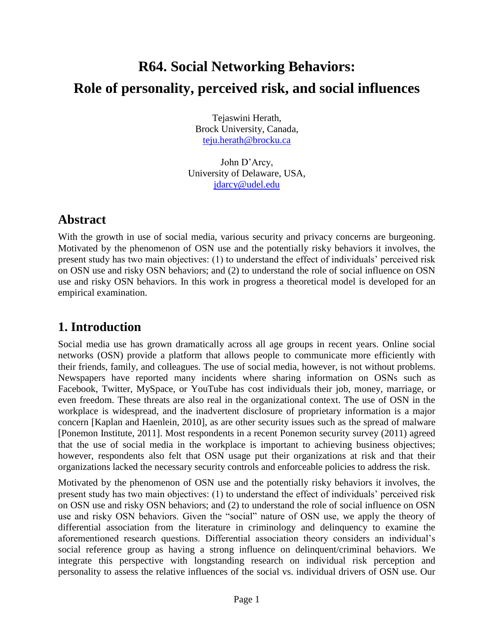# **R64. Social Networking Behaviors: Role of personality, perceived risk, and social influences**

Tejaswini Herath, Brock University, Canada, [teju.herath@brocku.ca](mailto:teju.herath@brocku.ca)

John D'Arcy, University of Delaware, USA, [jdarcy@udel.edu](mailto:jdarcy@udel.edu)

## **Abstract**

With the growth in use of social media, various security and privacy concerns are burgeoning. Motivated by the phenomenon of OSN use and the potentially risky behaviors it involves, the present study has two main objectives: (1) to understand the effect of individuals' perceived risk on OSN use and risky OSN behaviors; and (2) to understand the role of social influence on OSN use and risky OSN behaviors. In this work in progress a theoretical model is developed for an empirical examination.

# **1. Introduction**

Social media use has grown dramatically across all age groups in recent years. Online social networks (OSN) provide a platform that allows people to communicate more efficiently with their friends, family, and colleagues. The use of social media, however, is not without problems. Newspapers have reported many incidents where sharing information on OSNs such as Facebook, Twitter, MySpace, or YouTube has cost individuals their job, money, marriage, or even freedom. These threats are also real in the organizational context. The use of OSN in the workplace is widespread, and the inadvertent disclosure of proprietary information is a major concern [Kaplan and Haenlein, 2010], as are other security issues such as the spread of malware [Ponemon Institute, 2011]. Most respondents in a recent Ponemon security survey (2011) agreed that the use of social media in the workplace is important to achieving business objectives; however, respondents also felt that OSN usage put their organizations at risk and that their organizations lacked the necessary security controls and enforceable policies to address the risk.

Motivated by the phenomenon of OSN use and the potentially risky behaviors it involves, the present study has two main objectives: (1) to understand the effect of individuals' perceived risk on OSN use and risky OSN behaviors; and (2) to understand the role of social influence on OSN use and risky OSN behaviors. Given the "social" nature of OSN use, we apply the theory of differential association from the literature in criminology and delinquency to examine the aforementioned research questions. Differential association theory considers an individual's social reference group as having a strong influence on delinquent/criminal behaviors. We integrate this perspective with longstanding research on individual risk perception and personality to assess the relative influences of the social vs. individual drivers of OSN use. Our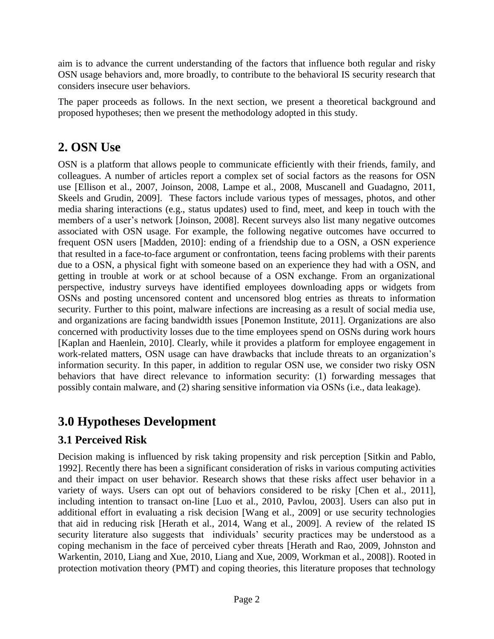aim is to advance the current understanding of the factors that influence both regular and risky OSN usage behaviors and, more broadly, to contribute to the behavioral IS security research that considers insecure user behaviors.

The paper proceeds as follows. In the next section, we present a theoretical background and proposed hypotheses; then we present the methodology adopted in this study.

# **2. OSN Use**

OSN is a platform that allows people to communicate efficiently with their friends, family, and colleagues. A number of articles report a complex set of social factors as the reasons for OSN use [Ellison et al., 2007, Joinson, 2008, Lampe et al., 2008, Muscanell and Guadagno, 2011, Skeels and Grudin, 2009]. These factors include various types of messages, photos, and other media sharing interactions (e.g., status updates) used to find, meet, and keep in touch with the members of a user's network [Joinson, 2008]. Recent surveys also list many negative outcomes associated with OSN usage. For example, the following negative outcomes have occurred to frequent OSN users [Madden, 2010]: ending of a friendship due to a OSN, a OSN experience that resulted in a face-to-face argument or confrontation, teens facing problems with their parents due to a OSN, a physical fight with someone based on an experience they had with a OSN, and getting in trouble at work or at school because of a OSN exchange. From an organizational perspective, industry surveys have identified employees downloading apps or widgets from OSNs and posting uncensored content and uncensored blog entries as threats to information security. Further to this point, malware infections are increasing as a result of social media use, and organizations are facing bandwidth issues [Ponemon Institute, 2011]. Organizations are also concerned with productivity losses due to the time employees spend on OSNs during work hours [Kaplan and Haenlein, 2010]. Clearly, while it provides a platform for employee engagement in work-related matters, OSN usage can have drawbacks that include threats to an organization's information security. In this paper, in addition to regular OSN use, we consider two risky OSN behaviors that have direct relevance to information security: (1) forwarding messages that possibly contain malware, and (2) sharing sensitive information via OSNs (i.e., data leakage).

# **3.0 Hypotheses Development**

# **3.1 Perceived Risk**

Decision making is influenced by risk taking propensity and risk perception [Sitkin and Pablo, 1992]. Recently there has been a significant consideration of risks in various computing activities and their impact on user behavior. Research shows that these risks affect user behavior in a variety of ways. Users can opt out of behaviors considered to be risky [Chen et al., 2011], including intention to transact on-line [Luo et al., 2010, Pavlou, 2003]. Users can also put in additional effort in evaluating a risk decision [Wang et al., 2009] or use security technologies that aid in reducing risk [Herath et al., 2014, Wang et al., 2009]. A review of the related IS security literature also suggests that individuals' security practices may be understood as a coping mechanism in the face of perceived cyber threats [Herath and Rao, 2009, Johnston and Warkentin, 2010, Liang and Xue, 2010, Liang and Xue, 2009, Workman et al., 2008]). Rooted in protection motivation theory (PMT) and coping theories, this literature proposes that technology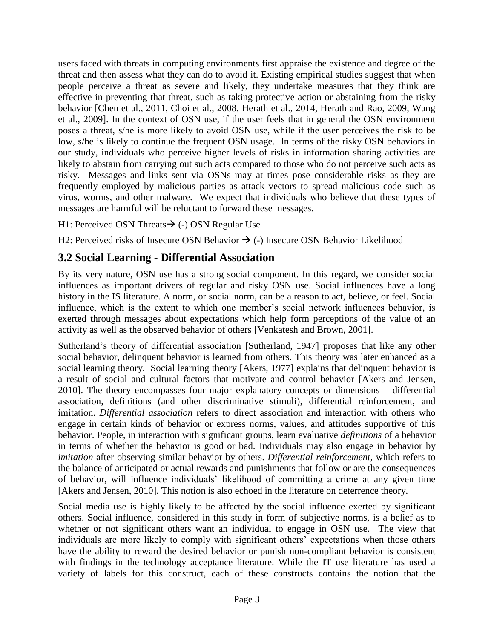users faced with threats in computing environments first appraise the existence and degree of the threat and then assess what they can do to avoid it. Existing empirical studies suggest that when people perceive a threat as severe and likely, they undertake measures that they think are effective in preventing that threat, such as taking protective action or abstaining from the risky behavior [Chen et al., 2011, Choi et al., 2008, Herath et al., 2014, Herath and Rao, 2009, Wang et al., 2009]. In the context of OSN use, if the user feels that in general the OSN environment poses a threat, s/he is more likely to avoid OSN use, while if the user perceives the risk to be low, s/he is likely to continue the frequent OSN usage. In terms of the risky OSN behaviors in our study, individuals who perceive higher levels of risks in information sharing activities are likely to abstain from carrying out such acts compared to those who do not perceive such acts as risky. Messages and links sent via OSNs may at times pose considerable risks as they are frequently employed by malicious parties as attack vectors to spread malicious code such as virus, worms, and other malware. We expect that individuals who believe that these types of messages are harmful will be reluctant to forward these messages.

H1: Perceived OSN Threats  $\rightarrow$  (-) OSN Regular Use

H2: Perceived risks of Insecure OSN Behavior  $\rightarrow$  (-) Insecure OSN Behavior Likelihood

#### **3.2 Social Learning - Differential Association**

By its very nature, OSN use has a strong social component. In this regard, we consider social influences as important drivers of regular and risky OSN use. Social influences have a long history in the IS literature. A norm, or social norm, can be a reason to act, believe, or feel. Social influence, which is the extent to which one member's social network influences behavior, is exerted through messages about expectations which help form perceptions of the value of an activity as well as the observed behavior of others [Venkatesh and Brown, 2001].

Sutherland's theory of differential association [Sutherland, 1947] proposes that like any other social behavior, delinquent behavior is learned from others. This theory was later enhanced as a social learning theory. Social learning theory [Akers, 1977] explains that delinquent behavior is a result of social and cultural factors that motivate and control behavior [Akers and Jensen, 2010]. The theory encompasses four major explanatory concepts or dimensions – differential association, definitions (and other discriminative stimuli), differential reinforcement, and imitation. *Differential association* refers to direct association and interaction with others who engage in certain kinds of behavior or express norms, values, and attitudes supportive of this behavior. People, in interaction with significant groups, learn evaluative *definitions* of a behavior in terms of whether the behavior is good or bad. Individuals may also engage in behavior by *imitation* after observing similar behavior by others. *Differential reinforcement,* which refers to the balance of anticipated or actual rewards and punishments that follow or are the consequences of behavior, will influence individuals' likelihood of committing a crime at any given time [Akers and Jensen, 2010]. This notion is also echoed in the literature on deterrence theory.

Social media use is highly likely to be affected by the social influence exerted by significant others. Social influence, considered in this study in form of subjective norms, is a belief as to whether or not significant others want an individual to engage in OSN use. The view that individuals are more likely to comply with significant others' expectations when those others have the ability to reward the desired behavior or punish non-compliant behavior is consistent with findings in the technology acceptance literature. While the IT use literature has used a variety of labels for this construct, each of these constructs contains the notion that the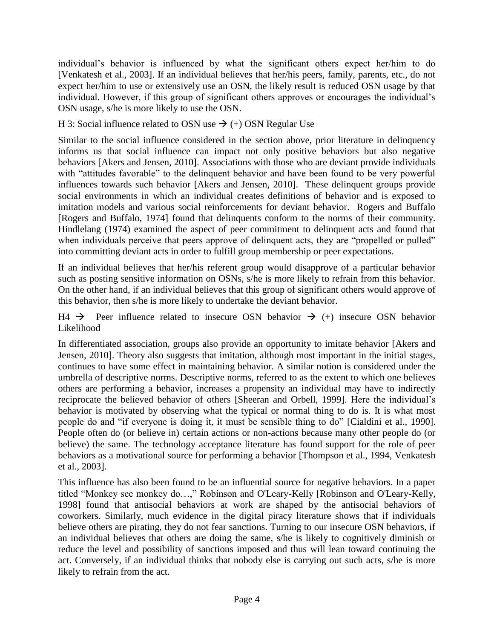individual's behavior is influenced by what the significant others expect her/him to do [Venkatesh et al., 2003]. If an individual believes that her/his peers, family, parents, etc., do not expect her/him to use or extensively use an OSN, the likely result is reduced OSN usage by that individual. However, if this group of significant others approves or encourages the individual's OSN usage, s/he is more likely to use the OSN.

H 3: Social influence related to OSN use  $\rightarrow$  (+) OSN Regular Use

Similar to the social influence considered in the section above, prior literature in delinquency informs us that social influence can impact not only positive behaviors but also negative behaviors [Akers and Jensen, 2010]. Associations with those who are deviant provide individuals with "attitudes favorable" to the delinquent behavior and have been found to be very powerful influences towards such behavior [Akers and Jensen, 2010]. These delinquent groups provide social environments in which an individual creates definitions of behavior and is exposed to imitation models and various social reinforcements for deviant behavior. Rogers and Buffalo [Rogers and Buffalo, 1974] found that delinquents conform to the norms of their community. Hindlelang (1974) examined the aspect of peer commitment to delinquent acts and found that when individuals perceive that peers approve of delinquent acts, they are "propelled or pulled" into committing deviant acts in order to fulfill group membership or peer expectations.

If an individual believes that her/his referent group would disapprove of a particular behavior such as posting sensitive information on OSNs, s/he is more likely to refrain from this behavior. On the other hand, if an individual believes that this group of significant others would approve of this behavior, then s/he is more likely to undertake the deviant behavior.

 $H4 \rightarrow$  Peer influence related to insecure OSN behavior  $\rightarrow$  (+) insecure OSN behavior Likelihood

In differentiated association, groups also provide an opportunity to imitate behavior [Akers and Jensen, 2010]. Theory also suggests that imitation, although most important in the initial stages, continues to have some effect in maintaining behavior. A similar notion is considered under the umbrella of descriptive norms. Descriptive norms, referred to as the extent to which one believes others are performing a behavior, increases a propensity an individual may have to indirectly reciprocate the believed behavior of others [Sheeran and Orbell, 1999]. Here the individual's behavior is motivated by observing what the typical or normal thing to do is. It is what most people do and "if everyone is doing it, it must be sensible thing to do" [Cialdini et al., 1990]. People often do (or believe in) certain actions or non-actions because many other people do (or believe) the same. The technology acceptance literature has found support for the role of peer behaviors as a motivational source for performing a behavior [Thompson et al., 1994, Venkatesh et al., 2003].

This influence has also been found to be an influential source for negative behaviors. In a paper titled "Monkey see monkey do…," Robinson and O'Leary-Kelly [Robinson and O'Leary-Kelly, 1998] found that antisocial behaviors at work are shaped by the antisocial behaviors of coworkers. Similarly, much evidence in the digital piracy literature shows that if individuals believe others are pirating, they do not fear sanctions. Turning to our insecure OSN behaviors, if an individual believes that others are doing the same, s/he is likely to cognitively diminish or reduce the level and possibility of sanctions imposed and thus will lean toward continuing the act. Conversely, if an individual thinks that nobody else is carrying out such acts, s/he is more likely to refrain from the act.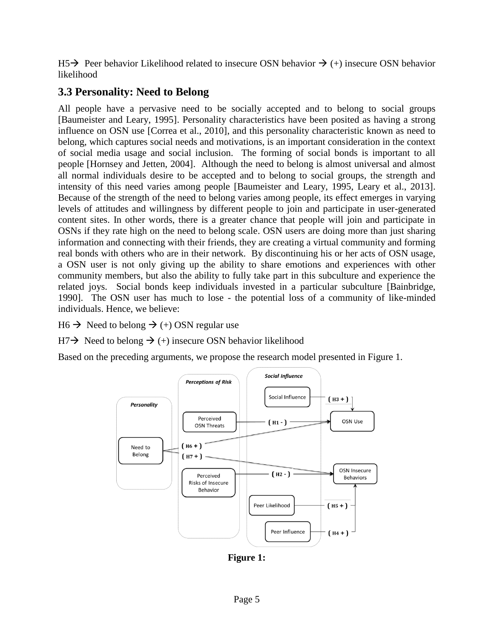$H5\rightarrow$  Peer behavior Likelihood related to insecure OSN behavior  $\rightarrow$  (+) insecure OSN behavior likelihood

### **3.3 Personality: Need to Belong**

All people have a pervasive need to be socially accepted and to belong to social groups [Baumeister and Leary, 1995]. Personality characteristics have been posited as having a strong influence on OSN use [Correa et al., 2010], and this personality characteristic known as need to belong, which captures social needs and motivations, is an important consideration in the context of social media usage and social inclusion. The forming of social bonds is important to all people [Hornsey and Jetten, 2004]. Although the need to belong is almost universal and almost all normal individuals desire to be accepted and to belong to social groups, the strength and intensity of this need varies among people [Baumeister and Leary, 1995, Leary et al., 2013]. Because of the strength of the need to belong varies among people, its effect emerges in varying levels of attitudes and willingness by different people to join and participate in user-generated content sites. In other words, there is a greater chance that people will join and participate in OSNs if they rate high on the need to belong scale. OSN users are doing more than just sharing information and connecting with their friends, they are creating a virtual community and forming real bonds with others who are in their network. By discontinuing his or her acts of OSN usage, a OSN user is not only giving up the ability to share emotions and experiences with other community members, but also the ability to fully take part in this subculture and experience the related joys. Social bonds keep individuals invested in a particular subculture [Bainbridge, 1990]. The OSN user has much to lose - the potential loss of a community of like-minded individuals. Hence, we believe:

 $H6 \rightarrow$  Need to belong  $\rightarrow$  (+) OSN regular use

 $H7 \rightarrow$  Need to belong  $\rightarrow$  (+) insecure OSN behavior likelihood

Based on the preceding arguments, we propose the research model presented in Figure 1.



**Figure 1:**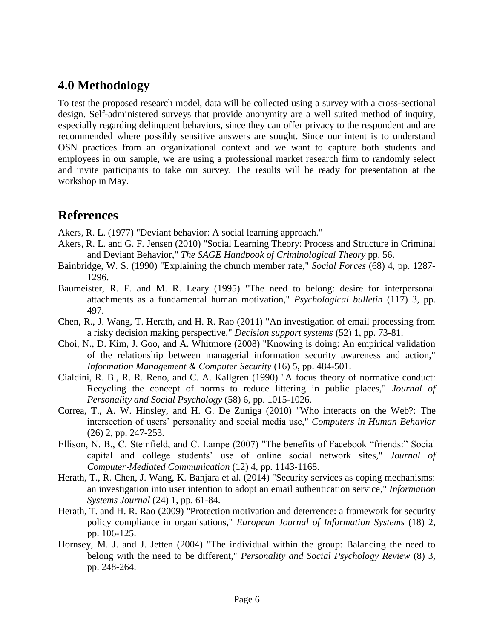## **4.0 Methodology**

To test the proposed research model, data will be collected using a survey with a cross-sectional design. Self-administered surveys that provide anonymity are a well suited method of inquiry, especially regarding delinquent behaviors, since they can offer privacy to the respondent and are recommended where possibly sensitive answers are sought. Since our intent is to understand OSN practices from an organizational context and we want to capture both students and employees in our sample, we are using a professional market research firm to randomly select and invite participants to take our survey. The results will be ready for presentation at the workshop in May.

### **References**

Akers, R. L. (1977) "Deviant behavior: A social learning approach."

- Akers, R. L. and G. F. Jensen (2010) "Social Learning Theory: Process and Structure in Criminal and Deviant Behavior," *The SAGE Handbook of Criminological Theory* pp. 56.
- Bainbridge, W. S. (1990) "Explaining the church member rate," *Social Forces* (68) 4, pp. 1287- 1296.
- Baumeister, R. F. and M. R. Leary (1995) "The need to belong: desire for interpersonal attachments as a fundamental human motivation," *Psychological bulletin* (117) 3, pp. 497.
- Chen, R., J. Wang, T. Herath, and H. R. Rao (2011) "An investigation of email processing from a risky decision making perspective," *Decision support systems* (52) 1, pp. 73-81.
- Choi, N., D. Kim, J. Goo, and A. Whitmore (2008) "Knowing is doing: An empirical validation of the relationship between managerial information security awareness and action," *Information Management & Computer Security* (16) 5, pp. 484-501.
- Cialdini, R. B., R. R. Reno, and C. A. Kallgren (1990) "A focus theory of normative conduct: Recycling the concept of norms to reduce littering in public places," *Journal of Personality and Social Psychology* (58) 6, pp. 1015-1026.
- Correa, T., A. W. Hinsley, and H. G. De Zuniga (2010) "Who interacts on the Web?: The intersection of users' personality and social media use," *Computers in Human Behavior* (26) 2, pp. 247-253.
- Ellison, N. B., C. Steinfield, and C. Lampe (2007) "The benefits of Facebook "friends:" Social capital and college students' use of online social network sites," *Journal of Computer*‐*Mediated Communication* (12) 4, pp. 1143-1168.
- Herath, T., R. Chen, J. Wang, K. Banjara et al. (2014) "Security services as coping mechanisms: an investigation into user intention to adopt an email authentication service," *Information Systems Journal* (24) 1, pp. 61-84.
- Herath, T. and H. R. Rao (2009) "Protection motivation and deterrence: a framework for security policy compliance in organisations," *European Journal of Information Systems* (18) 2, pp. 106-125.
- Hornsey, M. J. and J. Jetten (2004) "The individual within the group: Balancing the need to belong with the need to be different," *Personality and Social Psychology Review* (8) 3, pp. 248-264.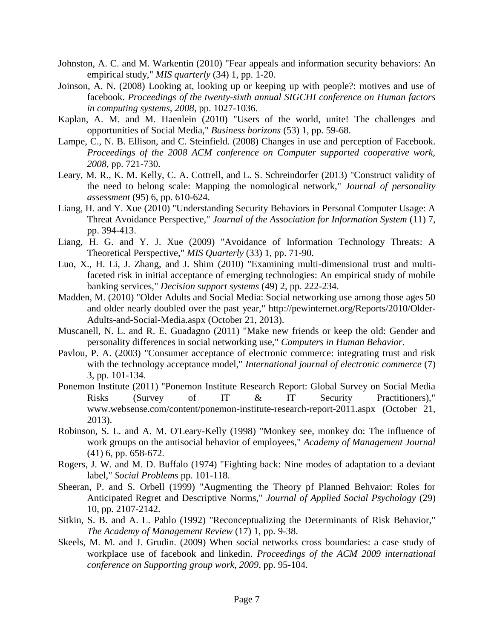- Johnston, A. C. and M. Warkentin (2010) "Fear appeals and information security behaviors: An empirical study," *MIS quarterly* (34) 1, pp. 1-20.
- Joinson, A. N. (2008) Looking at, looking up or keeping up with people?: motives and use of facebook. *Proceedings of the twenty-sixth annual SIGCHI conference on Human factors in computing systems, 2008*, pp. 1027-1036.
- Kaplan, A. M. and M. Haenlein (2010) "Users of the world, unite! The challenges and opportunities of Social Media," *Business horizons* (53) 1, pp. 59-68.
- Lampe, C., N. B. Ellison, and C. Steinfield. (2008) Changes in use and perception of Facebook. *Proceedings of the 2008 ACM conference on Computer supported cooperative work, 2008*, pp. 721-730.
- Leary, M. R., K. M. Kelly, C. A. Cottrell, and L. S. Schreindorfer (2013) "Construct validity of the need to belong scale: Mapping the nomological network," *Journal of personality assessment* (95) 6, pp. 610-624.
- Liang, H. and Y. Xue (2010) "Understanding Security Behaviors in Personal Computer Usage: A Threat Avoidance Perspective," *Journal of the Association for Information System* (11) 7, pp. 394-413.
- Liang, H. G. and Y. J. Xue (2009) "Avoidance of Information Technology Threats: A Theoretical Perspective," *MIS Quarterly* (33) 1, pp. 71-90.
- Luo, X., H. Li, J. Zhang, and J. Shim (2010) "Examining multi-dimensional trust and multifaceted risk in initial acceptance of emerging technologies: An empirical study of mobile banking services," *Decision support systems* (49) 2, pp. 222-234.
- Madden, M. (2010) "Older Adults and Social Media: Social networking use among those ages 50 and older nearly doubled over the past year," http://pewinternet.org/Reports/2010/Older-Adults-and-Social-Media.aspx (October 21, 2013).
- Muscanell, N. L. and R. E. Guadagno (2011) "Make new friends or keep the old: Gender and personality differences in social networking use," *Computers in Human Behavior*.
- Pavlou, P. A. (2003) "Consumer acceptance of electronic commerce: integrating trust and risk with the technology acceptance model," *International journal of electronic commerce* (7) 3, pp. 101-134.
- Ponemon Institute (2011) "Ponemon Institute Research Report: Global Survey on Social Media Risks (Survey of IT & IT Security Practitioners)," www.websense.com/content/ponemon-institute-research-report-2011.aspx (October 21, 2013).
- Robinson, S. L. and A. M. O'Leary-Kelly (1998) "Monkey see, monkey do: The influence of work groups on the antisocial behavior of employees," *Academy of Management Journal* (41) 6, pp. 658-672.
- Rogers, J. W. and M. D. Buffalo (1974) "Fighting back: Nine modes of adaptation to a deviant label," *Social Problems* pp. 101-118.
- Sheeran, P. and S. Orbell (1999) "Augmenting the Theory pf Planned Behvaior: Roles for Anticipated Regret and Descriptive Norms," *Journal of Applied Social Psychology* (29) 10, pp. 2107-2142.
- Sitkin, S. B. and A. L. Pablo (1992) "Reconceptualizing the Determinants of Risk Behavior," *The Academy of Management Review* (17) 1, pp. 9-38.
- Skeels, M. M. and J. Grudin. (2009) When social networks cross boundaries: a case study of workplace use of facebook and linkedin. *Proceedings of the ACM 2009 international conference on Supporting group work, 2009*, pp. 95-104.